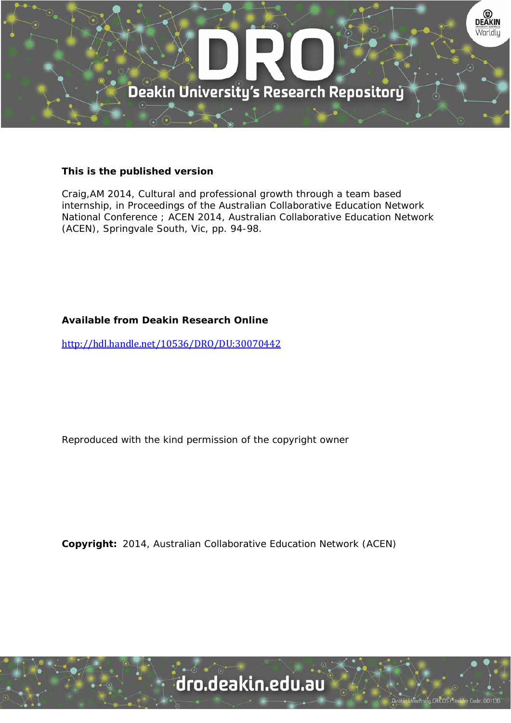

## **This is the published version**

Craig,AM 2014, Cultural and professional growth through a team based internship, in Proceedings of the Australian Collaborative Education Network National Conference ; ACEN 2014, Australian Collaborative Education Network (ACEN), Springvale South, Vic, pp. 94-98.

# **Available from Deakin Research Online**

http://hdl.handle.net/10536/DRO/DU:30070442

Reproduced with the kind permission of the copyright owner

**Copyright:** 2014, Australian Collaborative Education Network (ACEN)

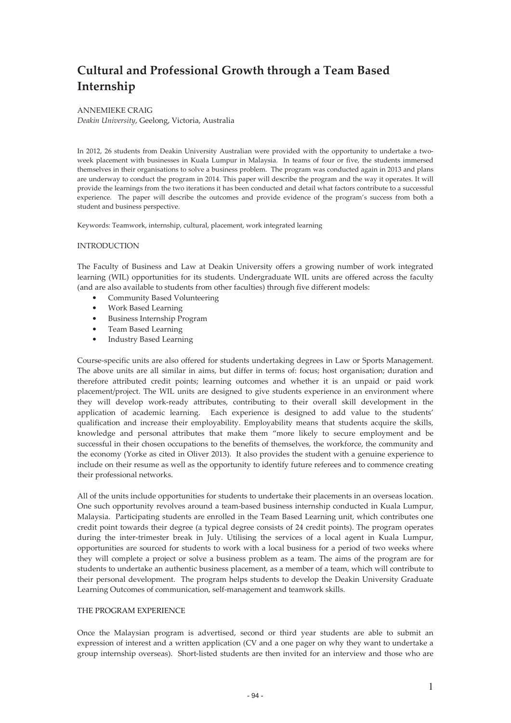# Cultural and Professional Growth through a Team Based Internship

### **ANNEMIEKE CRAIG**

Deakin University, Geelong, Victoria, Australia

In 2012, 26 students from Deakin University Australian were provided with the opportunity to undertake a twoweek placement with businesses in Kuala Lumpur in Malaysia. In teams of four or five, the students immersed themselves in their organisations to solve a business problem. The program was conducted again in 2013 and plans are underway to conduct the program in 2014. This paper will describe the program and the way it operates. It will provide the learnings from the two iterations it has been conducted and detail what factors contribute to a successful experience. The paper will describe the outcomes and provide evidence of the program's success from both a student and business perspective.

Keywords: Teamwork, internship, cultural, placement, work integrated learning

#### **INTRODUCTION**

The Faculty of Business and Law at Deakin University offers a growing number of work integrated learning (WIL) opportunities for its students. Undergraduate WIL units are offered across the faculty (and are also available to students from other faculties) through five different models:

- Community Based Volunteering
- **Work Based Learning**
- **Business Internship Program**
- Team Based Learning
- Industry Based Learning

Course-specific units are also offered for students undertaking degrees in Law or Sports Management. The above units are all similar in aims, but differ in terms of: focus; host organisation; duration and therefore attributed credit points; learning outcomes and whether it is an unpaid or paid work placement/project. The WIL units are designed to give students experience in an environment where they will develop work-ready attributes, contributing to their overall skill development in the application of academic learning. Each experience is designed to add value to the students' qualification and increase their employability. Employability means that students acquire the skills, knowledge and personal attributes that make them "more likely to secure employment and be successful in their chosen occupations to the benefits of themselves, the workforce, the community and the economy (Yorke as cited in Oliver 2013). It also provides the student with a genuine experience to include on their resume as well as the opportunity to identify future referees and to commence creating their professional networks.

All of the units include opportunities for students to undertake their placements in an overseas location. One such opportunity revolves around a team-based business internship conducted in Kuala Lumpur, Malaysia. Participating students are enrolled in the Team Based Learning unit, which contributes one credit point towards their degree (a typical degree consists of 24 credit points). The program operates during the inter-trimester break in July. Utilising the services of a local agent in Kuala Lumpur, opportunities are sourced for students to work with a local business for a period of two weeks where they will complete a project or solve a business problem as a team. The aims of the program are for students to undertake an authentic business placement, as a member of a team, which will contribute to their personal development. The program helps students to develop the Deakin University Graduate Learning Outcomes of communication, self-management and teamwork skills.

### THE PROGRAM EXPERIENCE

Once the Malaysian program is advertised, second or third year students are able to submit an expression of interest and a written application (CV and a one pager on why they want to undertake a group internship overseas). Short-listed students are then invited for an interview and those who are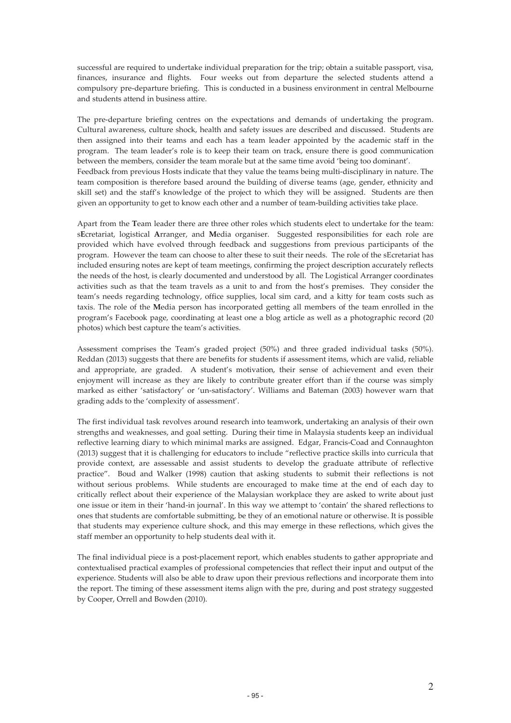successful are required to undertake individual preparation for the trip; obtain a suitable passport, visa, finances, insurance and flights. Four weeks out from departure the selected students attend a compulsory pre-departure briefing. This is conducted in a business environment in central Melbourne and students attend in business attire.

The pre-departure briefing centres on the expectations and demands of undertaking the program. Cultural awareness, culture shock, health and safety issues are described and discussed. Students are then assigned into their teams and each has a team leader appointed by the academic staff in the program. The team leader's role is to keep their team on track, ensure there is good communication between the members, consider the team morale but at the same time avoid 'being too dominant'. Feedback from previous Hosts indicate that they value the teams being multi-disciplinary in nature. The team composition is therefore based around the building of diverse teams (age, gender, ethnicity and skill set) and the staff's knowledge of the project to which they will be assigned. Students are then given an opportunity to get to know each other and a number of team-building activities take place.

Apart from the Team leader there are three other roles which students elect to undertake for the team: sEcretariat, logistical Arranger, and Media organiser. Suggested responsibilities for each role are provided which have evolved through feedback and suggestions from previous participants of the program. However the team can choose to alter these to suit their needs. The role of the sEcretariat has included ensuring notes are kept of team meetings, confirming the project description accurately reflects the needs of the host, is clearly documented and understood by all. The Logistical Arranger coordinates activities such as that the team travels as a unit to and from the host's premises. They consider the team's needs regarding technology, office supplies, local sim card, and a kitty for team costs such as taxis. The role of the Media person has incorporated getting all members of the team enrolled in the program's Facebook page, coordinating at least one a blog article as well as a photographic record (20 photos) which best capture the team's activities.

Assessment comprises the Team's graded project (50%) and three graded individual tasks (50%). Reddan (2013) suggests that there are benefits for students if assessment items, which are valid, reliable and appropriate, are graded. A student's motivation, their sense of achievement and even their enjoyment will increase as they are likely to contribute greater effort than if the course was simply marked as either 'satisfactory' or 'un-satisfactory'. Williams and Bateman (2003) however warn that grading adds to the 'complexity of assessment'.

The first individual task revolves around research into teamwork, undertaking an analysis of their own strengths and weaknesses, and goal setting. During their time in Malaysia students keep an individual reflective learning diary to which minimal marks are assigned. Edgar, Francis-Coad and Connaughton (2013) suggest that it is challenging for educators to include "reflective practice skills into curricula that provide context, are assessable and assist students to develop the graduate attribute of reflective practice". Boud and Walker (1998) caution that asking students to submit their reflections is not without serious problems. While students are encouraged to make time at the end of each day to critically reflect about their experience of the Malaysian workplace they are asked to write about just one issue or item in their 'hand-in journal'. In this way we attempt to 'contain' the shared reflections to ones that students are comfortable submitting, be they of an emotional nature or otherwise. It is possible that students may experience culture shock, and this may emerge in these reflections, which gives the staff member an opportunity to help students deal with it.

The final individual piece is a post-placement report, which enables students to gather appropriate and contextualised practical examples of professional competencies that reflect their input and output of the experience. Students will also be able to draw upon their previous reflections and incorporate them into the report. The timing of these assessment items align with the pre, during and post strategy suggested by Cooper, Orrell and Bowden (2010).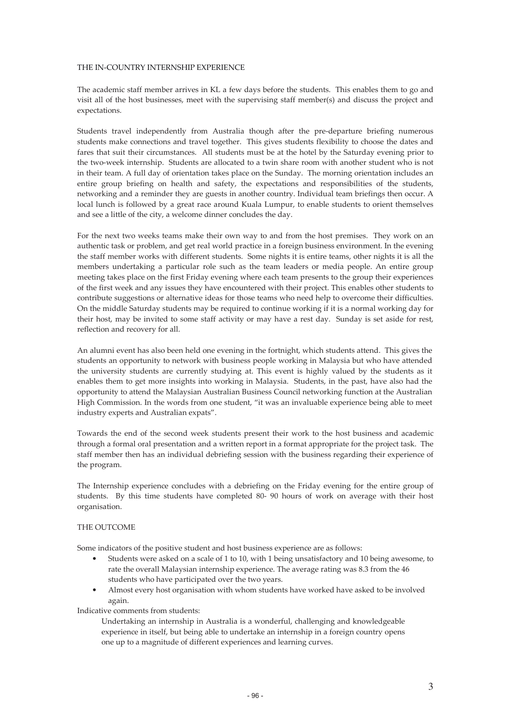#### THE IN-COUNTRY INTERNSHIP EXPERIENCE

The academic staff member arrives in KL a few days before the students. This enables them to go and visit all of the host businesses, meet with the supervising staff member(s) and discuss the project and expectations.

Students travel independently from Australia though after the pre-departure briefing numerous students make connections and travel together. This gives students flexibility to choose the dates and fares that suit their circumstances. All students must be at the hotel by the Saturday evening prior to the two-week internship. Students are allocated to a twin share room with another student who is not in their team. A full day of orientation takes place on the Sunday. The morning orientation includes an entire group briefing on health and safety, the expectations and responsibilities of the students, networking and a reminder they are guests in another country. Individual team briefings then occur. A local lunch is followed by a great race around Kuala Lumpur, to enable students to orient themselves and see a little of the city, a welcome dinner concludes the day.

For the next two weeks teams make their own way to and from the host premises. They work on an authentic task or problem, and get real world practice in a foreign business environment. In the evening the staff member works with different students. Some nights it is entire teams, other nights it is all the members undertaking a particular role such as the team leaders or media people. An entire group meeting takes place on the first Friday evening where each team presents to the group their experiences of the first week and any issues they have encountered with their project. This enables other students to contribute suggestions or alternative ideas for those teams who need help to overcome their difficulties. On the middle Saturday students may be required to continue working if it is a normal working day for their host, may be invited to some staff activity or may have a rest day. Sunday is set aside for rest, reflection and recovery for all.

An alumni event has also been held one evening in the fortnight, which students attend. This gives the students an opportunity to network with business people working in Malaysia but who have attended the university students are currently studying at. This event is highly valued by the students as it enables them to get more insights into working in Malaysia. Students, in the past, have also had the opportunity to attend the Malaysian Australian Business Council networking function at the Australian High Commission. In the words from one student, "it was an invaluable experience being able to meet industry experts and Australian expats".

Towards the end of the second week students present their work to the host business and academic through a formal oral presentation and a written report in a format appropriate for the project task. The staff member then has an individual debriefing session with the business regarding their experience of the program.

The Internship experience concludes with a debriefing on the Friday evening for the entire group of students. By this time students have completed 80- 90 hours of work on average with their host organisation.

## THE OUTCOME

Some indicators of the positive student and host business experience are as follows:

- Students were asked on a scale of 1 to 10, with 1 being unsatisfactory and 10 being awesome, to rate the overall Malaysian internship experience. The average rating was 8.3 from the 46 students who have participated over the two years.
- Almost every host organisation with whom students have worked have asked to be involved again.

Indicative comments from students:

Undertaking an internship in Australia is a wonderful, challenging and knowledgeable experience in itself, but being able to undertake an internship in a foreign country opens one up to a magnitude of different experiences and learning curves.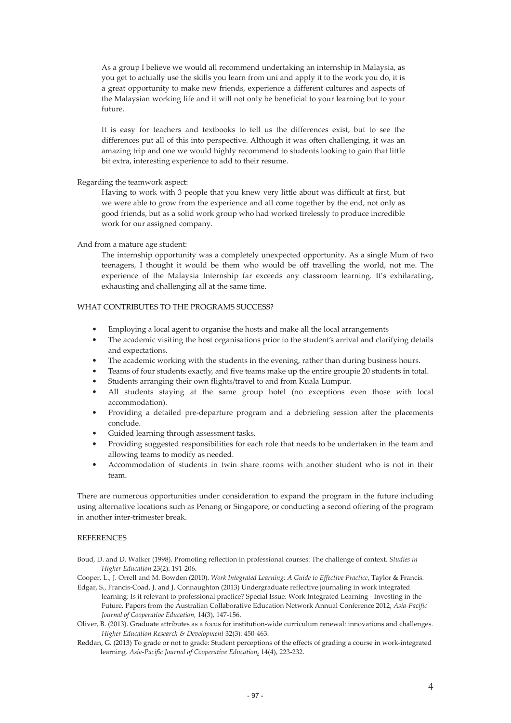As a group I believe we would all recommend undertaking an internship in Malaysia, as you get to actually use the skills you learn from uni and apply it to the work you do, it is a great opportunity to make new friends, experience a different cultures and aspects of the Malaysian working life and it will not only be beneficial to your learning but to your future.

It is easy for teachers and textbooks to tell us the differences exist, but to see the differences put all of this into perspective. Although it was often challenging, it was an amazing trip and one we would highly recommend to students looking to gain that little bit extra, interesting experience to add to their resume.

Regarding the teamwork aspect:

Having to work with 3 people that you knew very little about was difficult at first, but we were able to grow from the experience and all come together by the end, not only as good friends, but as a solid work group who had worked tirelessly to produce incredible work for our assigned company.

And from a mature age student:

The internship opportunity was a completely unexpected opportunity. As a single Mum of two teenagers, I thought it would be them who would be off travelling the world, not me. The experience of the Malaysia Internship far exceeds any classroom learning. It's exhilarating, exhausting and challenging all at the same time.

#### WHAT CONTRIBUTES TO THE PROGRAMS SUCCESS?

- Employing a local agent to organise the hosts and make all the local arrangements
- The academic visiting the host organisations prior to the student's arrival and clarifying details and expectations.
- The academic working with the students in the evening, rather than during business hours.
- Teams of four students exactly, and five teams make up the entire groupie 20 students in total.
- Students arranging their own flights/travel to and from Kuala Lumpur.
- All students staying at the same group hotel (no exceptions even those with local accommodation).
- Providing a detailed pre-departure program and a debriefing session after the placements conclude
- Guided learning through assessment tasks.
- Providing suggested responsibilities for each role that needs to be undertaken in the team and allowing teams to modify as needed.
- Accommodation of students in twin share rooms with another student who is not in their team

There are numerous opportunities under consideration to expand the program in the future including using alternative locations such as Penang or Singapore, or conducting a second offering of the program in another inter-trimester break.

#### **REFERENCES**

Boud, D. and D. Walker (1998). Promoting reflection in professional courses: The challenge of context. Studies in Higher Education 23(2): 191-206.

Cooper, L., J. Orrell and M. Bowden (2010). Work Integrated Learning: A Guide to Effective Practice, Taylor & Francis. Edgar, S., Francis-Coad, J. and J. Connaughton (2013) Undergraduate reflective journaling in work integrated

- learning: Is it relevant to professional practice? Special Issue: Work Integrated Learning Investing in the Future. Papers from the Australian Collaborative Education Network Annual Conference 2012, Asia-Pacific Journal of Cooperative Education, 14(3), 147-156.
- Oliver, B. (2013). Graduate attributes as a focus for institution-wide curriculum renewal: innovations and challenges. Higher Education Research & Development 32(3): 450-463.
- Reddan, G. (2013) To grade or not to grade: Student perceptions of the effects of grading a course in work-integrated learning. Asia-Pacific Journal of Cooperative Education, 14(4), 223-232.